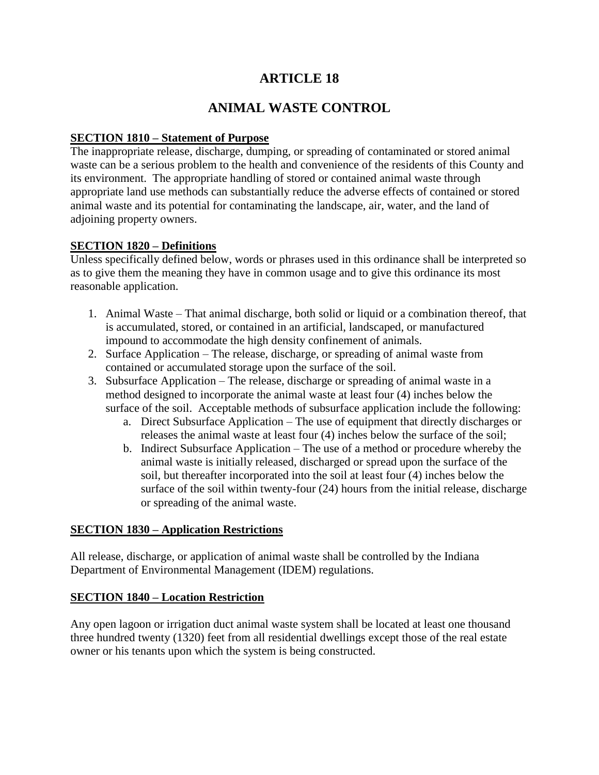# **ARTICLE 18**

# **ANIMAL WASTE CONTROL**

## **SECTION 1810 – Statement of Purpose**

The inappropriate release, discharge, dumping, or spreading of contaminated or stored animal waste can be a serious problem to the health and convenience of the residents of this County and its environment. The appropriate handling of stored or contained animal waste through appropriate land use methods can substantially reduce the adverse effects of contained or stored animal waste and its potential for contaminating the landscape, air, water, and the land of adjoining property owners.

#### **SECTION 1820 – Definitions**

Unless specifically defined below, words or phrases used in this ordinance shall be interpreted so as to give them the meaning they have in common usage and to give this ordinance its most reasonable application.

- 1. Animal Waste That animal discharge, both solid or liquid or a combination thereof, that is accumulated, stored, or contained in an artificial, landscaped, or manufactured impound to accommodate the high density confinement of animals.
- 2. Surface Application The release, discharge, or spreading of animal waste from contained or accumulated storage upon the surface of the soil.
- 3. Subsurface Application The release, discharge or spreading of animal waste in a method designed to incorporate the animal waste at least four (4) inches below the surface of the soil. Acceptable methods of subsurface application include the following:
	- a. Direct Subsurface Application The use of equipment that directly discharges or releases the animal waste at least four (4) inches below the surface of the soil;
	- b. Indirect Subsurface Application The use of a method or procedure whereby the animal waste is initially released, discharged or spread upon the surface of the soil, but thereafter incorporated into the soil at least four (4) inches below the surface of the soil within twenty-four (24) hours from the initial release, discharge or spreading of the animal waste.

### **SECTION 1830 – Application Restrictions**

All release, discharge, or application of animal waste shall be controlled by the Indiana Department of Environmental Management (IDEM) regulations.

### **SECTION 1840 – Location Restriction**

Any open lagoon or irrigation duct animal waste system shall be located at least one thousand three hundred twenty (1320) feet from all residential dwellings except those of the real estate owner or his tenants upon which the system is being constructed.